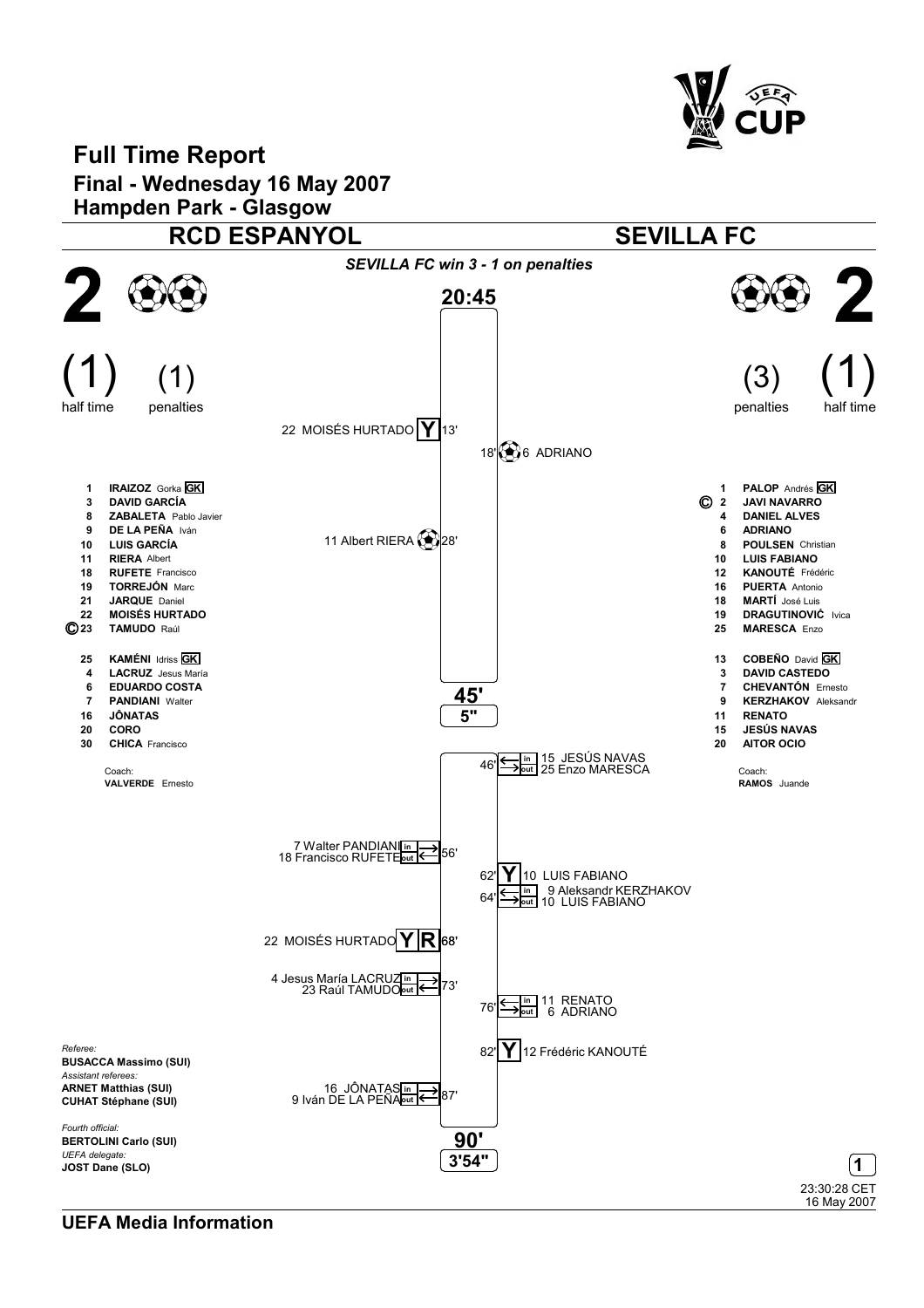

16 May 2007

## Full Time Report Final - Wednesday 16 May 2007 Hampden Park - Glasgow RCD ESPANYOL SEVILLA FC SEVILLA FC win 3 - 1 on penalties  $9\,2$  $\boldsymbol{\mathcal{V}}$ 20:45  $(1)$  (1) (3)  $(1)$  $(1)$  (3) half time half time penalties penalties 22 MOISÉS HURTADO  $Y$ 13'  $18\%$  6 ADRIANO 1 IRAIZOZ Gorka GK 1 PALOP Andrés **GK**<br>© 2 JAVI NAVARRO 3 DAVID GARCÍA JAVI NAVARRO 8 **ZABALETA** Pablo Javier 4 DANIEL ALVES 9 DE LA PEÑA Iván 6 ADRIANO 11 Albert RIERA 28' 10 LUIS GARCÍA<br>11 RIERA Albert 8 POULSEN Christian<br>10 LUIS FABIANO **RIERA** Albert LUIS FABIANO 18 RUFETE Francisco 12 KANOUTÉ Frédéric 19 TORREJÓN Marc<br>21 JARQUE Daniel 16 PUERTA Antonio<br>18 MARTÍ José Luis JARQUE Daniel MARTÍ José Luis 22 MOISÉS HURTADO<br>© 23 TAMUDO Raúl 19 DRAGUTINOVIĆ Ivica<br>25 MARESCA Enzo TAMUDO Raúl **MARESCA Enzo** 25 KAMÉNI Idriss **GK** 13 COBEÑO David **GK** 4 LACRUZ Jesus María 3 DAVID CASTEDO 6 EDUARDO COSTA 7 CHEVANTÓN Ernesto <u>45</u> 7 **PANDIANI** Walter 9 KERZHAKOV Aleksandr 5" 16 JÔNATAS 11 RENATO 15 JESÚS NAVAS 20 CORO 30 CHICA Francisco 20 AITOR OCIO 46' <u>← in</u> 15 JESÚS NAVAS<br>46' → <sup>out</sup> 25 Enzo MARESCA Coach: Coach: VALVERDE Ernesto RAMOS Juande 7 Walter PANDIANI<sup>n</sup><br>18 Francisco RUFETE<sub>out</sub>  $62'$  10 LUIS FABIANO  $64'$   $\frac{\overline{m}}{\overline{m}}$ 9 Aleksandr KERZHAKOV 10 LUIS FABIANO out 22 MOISÉS HURTADO  $Y/R$  68' 4 Jesus María LACRUZ<mark>in →</mark> 73'<br>23 Raúl TAMUDO<mark>out →</mark> 73' in 11 RENATO<br><u>aut</u> 6 ADRIANO 76' Referee: 82' Y 12 Frédéric KANOUTÉ BUSACCA Massimo (SUI) Assistant referees: ARNET Matthias (SUI) 87' <sup>16</sup> JÖNATAS<mark>in (ح</u>س∏87'</mark><br>'87' <sup>g</sup> Iván DE LA PEÑA CUHAT Stéphane (SUI) Fourth official: 90' BERTOLINI Carlo (SUI) UEFA delegate: 3'54" JOST Dane (SLO) 123:30:28 CET

UEFA Media Information